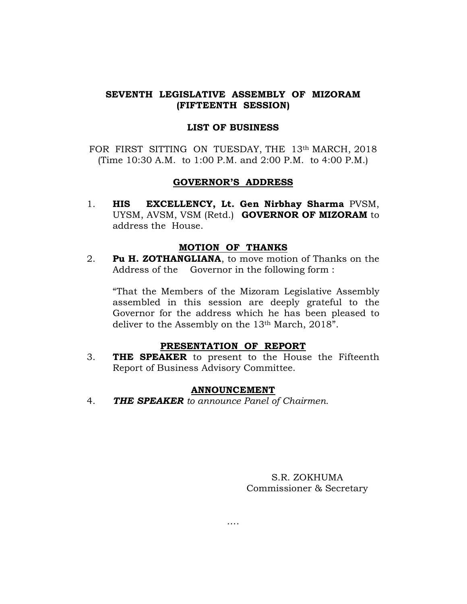## SEVENTH LEGISLATIVE ASSEMBLY OF MIZORAM (FIFTEENTH SESSION)

#### LIST OF BUSINESS

FOR FIRST SITTING ON TUESDAY, THE 13th MARCH, 2018 (Time 10:30 A.M. to 1:00 P.M. and 2:00 P.M. to 4:00 P.M.)

### GOVERNOR'S ADDRESS

1. HIS EXCELLENCY, Lt. Gen Nirbhay Sharma PVSM, UYSM, AVSM, VSM (Retd.) GOVERNOR OF MIZORAM to address the House.

### MOTION OF THANKS

2. Pu H. ZOTHANGLIANA, to move motion of Thanks on the Address of the Governor in the following form :

 "That the Members of the Mizoram Legislative Assembly assembled in this session are deeply grateful to the Governor for the address which he has been pleased to deliver to the Assembly on the 13th March, 2018".

## PRESENTATION OF REPORT

3. **THE SPEAKER** to present to the House the Fifteenth Report of Business Advisory Committee.

#### ANNOUNCEMENT

4. THE SPEAKER to announce Panel of Chairmen.

S.R. ZOKHUMA Commissioner & Secretary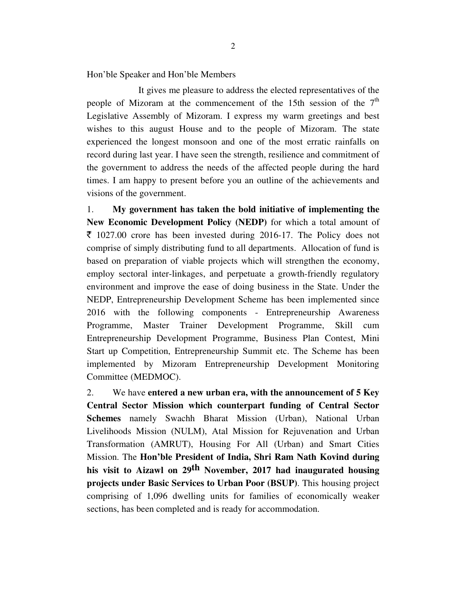Hon'ble Speaker and Hon'ble Members

 It gives me pleasure to address the elected representatives of the people of Mizoram at the commencement of the 15th session of the  $7<sup>th</sup>$ Legislative Assembly of Mizoram. I express my warm greetings and best wishes to this august House and to the people of Mizoram. The state experienced the longest monsoon and one of the most erratic rainfalls on record during last year. I have seen the strength, resilience and commitment of the government to address the needs of the affected people during the hard times. I am happy to present before you an outline of the achievements and visions of the government.

1. **My government has taken the bold initiative of implementing the New Economic Development Policy (NEDP)** for which a total amount of  $\bar{\xi}$  1027.00 crore has been invested during 2016-17. The Policy does not comprise of simply distributing fund to all departments. Allocation of fund is based on preparation of viable projects which will strengthen the economy, employ sectoral inter-linkages, and perpetuate a growth-friendly regulatory environment and improve the ease of doing business in the State. Under the NEDP, Entrepreneurship Development Scheme has been implemented since 2016 with the following components - Entrepreneurship Awareness Programme, Master Trainer Development Programme, Skill cum Entrepreneurship Development Programme, Business Plan Contest, Mini Start up Competition, Entrepreneurship Summit etc. The Scheme has been implemented by Mizoram Entrepreneurship Development Monitoring Committee (MEDMOC).

2. We have **entered a new urban era, with the announcement of 5 Key Central Sector Mission which counterpart funding of Central Sector Schemes** namely Swachh Bharat Mission (Urban), National Urban Livelihoods Mission (NULM), Atal Mission for Rejuvenation and Urban Transformation (AMRUT), Housing For All (Urban) and Smart Cities Mission. The **Hon'ble President of India, Shri Ram Nath Kovind during his visit to Aizawl on 29th November, 2017 had inaugurated housing projects under Basic Services to Urban Poor (BSUP)**. This housing project comprising of 1,096 dwelling units for families of economically weaker sections, has been completed and is ready for accommodation.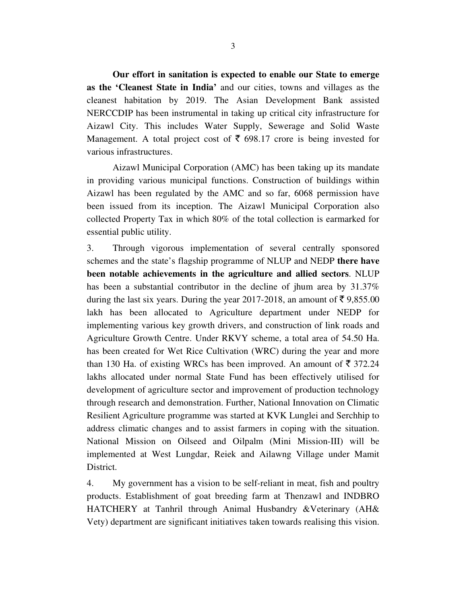**Our effort in sanitation is expected to enable our State to emerge as the 'Cleanest State in India'** and our cities, towns and villages as the cleanest habitation by 2019. The Asian Development Bank assisted NERCCDIP has been instrumental in taking up critical city infrastructure for Aizawl City. This includes Water Supply, Sewerage and Solid Waste Management. A total project cost of  $\bar{\epsilon}$  698.17 crore is being invested for various infrastructures.

 Aizawl Municipal Corporation (AMC) has been taking up its mandate in providing various municipal functions. Construction of buildings within Aizawl has been regulated by the AMC and so far, 6068 permission have been issued from its inception. The Aizawl Municipal Corporation also collected Property Tax in which 80% of the total collection is earmarked for essential public utility.

3. Through vigorous implementation of several centrally sponsored schemes and the state's flagship programme of NLUP and NEDP **there have been notable achievements in the agriculture and allied sectors**. NLUP has been a substantial contributor in the decline of jhum area by 31.37% during the last six years. During the year 2017-2018, an amount of  $\bar{\tau}$  9,855.00 lakh has been allocated to Agriculture department under NEDP for implementing various key growth drivers, and construction of link roads and Agriculture Growth Centre. Under RKVY scheme, a total area of 54.50 Ha. has been created for Wet Rice Cultivation (WRC) during the year and more than 130 Ha. of existing WRCs has been improved. An amount of  $\bar{\tau}$  372.24 lakhs allocated under normal State Fund has been effectively utilised for development of agriculture sector and improvement of production technology through research and demonstration. Further, National Innovation on Climatic Resilient Agriculture programme was started at KVK Lunglei and Serchhip to address climatic changes and to assist farmers in coping with the situation. National Mission on Oilseed and Oilpalm (Mini Mission-III) will be implemented at West Lungdar, Reiek and Ailawng Village under Mamit District.

4. My government has a vision to be self-reliant in meat, fish and poultry products. Establishment of goat breeding farm at Thenzawl and INDBRO HATCHERY at Tanhril through Animal Husbandry &Veterinary (AH& Vety) department are significant initiatives taken towards realising this vision.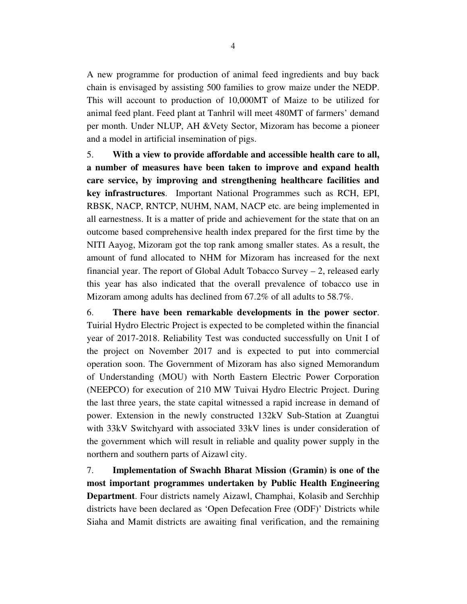A new programme for production of animal feed ingredients and buy back chain is envisaged by assisting 500 families to grow maize under the NEDP. This will account to production of 10,000MT of Maize to be utilized for animal feed plant. Feed plant at Tanhril will meet 480MT of farmers' demand per month. Under NLUP, AH &Vety Sector, Mizoram has become a pioneer and a model in artificial insemination of pigs.

5. **With a view to provide affordable and accessible health care to all, a number of measures have been taken to improve and expand health care service, by improving and strengthening healthcare facilities and key infrastructures**. Important National Programmes such as RCH, EPI, RBSK, NACP, RNTCP, NUHM, NAM, NACP etc. are being implemented in all earnestness. It is a matter of pride and achievement for the state that on an outcome based comprehensive health index prepared for the first time by the NITI Aayog, Mizoram got the top rank among smaller states. As a result, the amount of fund allocated to NHM for Mizoram has increased for the next financial year. The report of Global Adult Tobacco Survey  $-2$ , released early this year has also indicated that the overall prevalence of tobacco use in Mizoram among adults has declined from 67.2% of all adults to 58.7%.

6. **There have been remarkable developments in the power sector**. Tuirial Hydro Electric Project is expected to be completed within the financial year of 2017-2018. Reliability Test was conducted successfully on Unit I of the project on November 2017 and is expected to put into commercial operation soon. The Government of Mizoram has also signed Memorandum of Understanding (MOU) with North Eastern Electric Power Corporation (NEEPCO) for execution of 210 MW Tuivai Hydro Electric Project. During the last three years, the state capital witnessed a rapid increase in demand of power. Extension in the newly constructed 132kV Sub-Station at Zuangtui with 33kV Switchyard with associated 33kV lines is under consideration of the government which will result in reliable and quality power supply in the northern and southern parts of Aizawl city.

7. **Implementation of Swachh Bharat Mission (Gramin) is one of the most important programmes undertaken by Public Health Engineering Department**. Four districts namely Aizawl, Champhai, Kolasib and Serchhip districts have been declared as 'Open Defecation Free (ODF)' Districts while Siaha and Mamit districts are awaiting final verification, and the remaining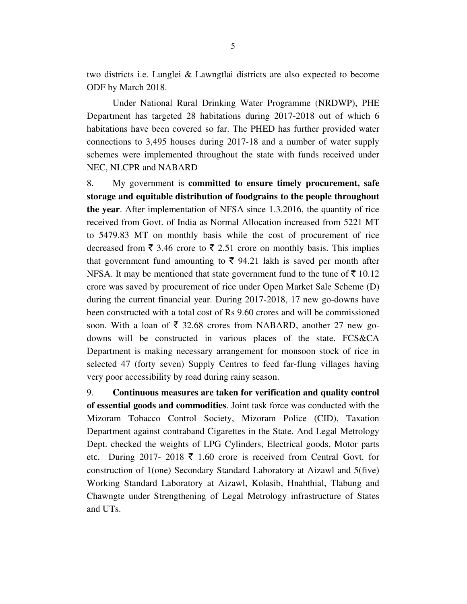two districts i.e. Lunglei & Lawngtlai districts are also expected to become ODF by March 2018.

 Under National Rural Drinking Water Programme (NRDWP), PHE Department has targeted 28 habitations during 2017-2018 out of which 6 habitations have been covered so far. The PHED has further provided water connections to 3,495 houses during 2017-18 and a number of water supply schemes were implemented throughout the state with funds received under NEC, NLCPR and NABARD

8. My government is **committed to ensure timely procurement, safe storage and equitable distribution of foodgrains to the people throughout the year**. After implementation of NFSA since 1.3.2016, the quantity of rice received from Govt. of India as Normal Allocation increased from 5221 MT to 5479.83 MT on monthly basis while the cost of procurement of rice decreased from  $\bar{\xi}$  3.46 crore to  $\bar{\xi}$  2.51 crore on monthly basis. This implies that government fund amounting to  $\bar{\tau}$  94.21 lakh is saved per month after NFSA. It may be mentioned that state government fund to the tune of  $\bar{\xi}$  10.12 crore was saved by procurement of rice under Open Market Sale Scheme (D) during the current financial year. During 2017-2018, 17 new go-downs have been constructed with a total cost of Rs 9.60 crores and will be commissioned soon. With a loan of  $\overline{\xi}$  32.68 crores from NABARD, another 27 new godowns will be constructed in various places of the state. FCS&CA Department is making necessary arrangement for monsoon stock of rice in selected 47 (forty seven) Supply Centres to feed far-flung villages having very poor accessibility by road during rainy season.

9. **Continuous measures are taken for verification and quality control of essential goods and commodities**. Joint task force was conducted with the Mizoram Tobacco Control Society, Mizoram Police (CID), Taxation Department against contraband Cigarettes in the State. And Legal Metrology Dept. checked the weights of LPG Cylinders, Electrical goods, Motor parts etc. During 2017- 2018  $\bar{\tau}$  1.60 crore is received from Central Govt. for construction of 1(one) Secondary Standard Laboratory at Aizawl and 5(five) Working Standard Laboratory at Aizawl, Kolasib, Hnahthial, Tlabung and Chawngte under Strengthening of Legal Metrology infrastructure of States and UTs.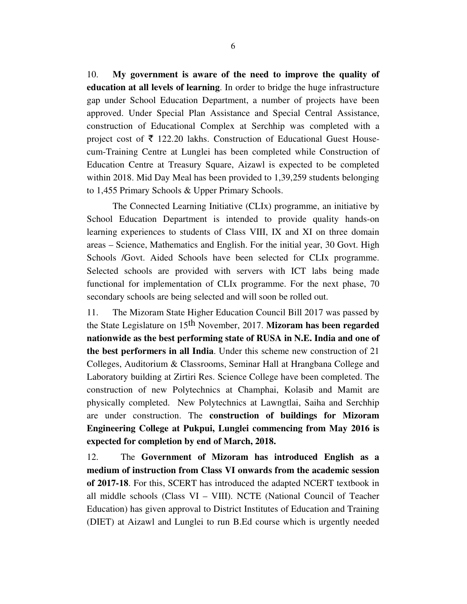10. **My government is aware of the need to improve the quality of education at all levels of learning**. In order to bridge the huge infrastructure gap under School Education Department, a number of projects have been approved. Under Special Plan Assistance and Special Central Assistance, construction of Educational Complex at Serchhip was completed with a project cost of  $\bar{\tau}$  122.20 lakhs. Construction of Educational Guest Housecum-Training Centre at Lunglei has been completed while Construction of Education Centre at Treasury Square, Aizawl is expected to be completed within 2018. Mid Day Meal has been provided to 1,39,259 students belonging to 1,455 Primary Schools & Upper Primary Schools.

 The Connected Learning Initiative (CLIx) programme, an initiative by School Education Department is intended to provide quality hands-on learning experiences to students of Class VIII, IX and XI on three domain areas – Science, Mathematics and English. For the initial year, 30 Govt. High Schools /Govt. Aided Schools have been selected for CLIx programme. Selected schools are provided with servers with ICT labs being made functional for implementation of CLIx programme. For the next phase, 70 secondary schools are being selected and will soon be rolled out.

11. The Mizoram State Higher Education Council Bill 2017 was passed by the State Legislature on 15th November, 2017. **Mizoram has been regarded nationwide as the best performing state of RUSA in N.E. India and one of the best performers in all India**. Under this scheme new construction of 21 Colleges, Auditorium & Classrooms, Seminar Hall at Hrangbana College and Laboratory building at Zirtiri Res. Science College have been completed. The construction of new Polytechnics at Champhai, Kolasib and Mamit are physically completed. New Polytechnics at Lawngtlai, Saiha and Serchhip are under construction. The **construction of buildings for Mizoram Engineering College at Pukpui, Lunglei commencing from May 2016 is expected for completion by end of March, 2018.** 

12. The **Government of Mizoram has introduced English as a medium of instruction from Class VI onwards from the academic session of 2017-18**. For this, SCERT has introduced the adapted NCERT textbook in all middle schools (Class VI – VIII). NCTE (National Council of Teacher Education) has given approval to District Institutes of Education and Training (DIET) at Aizawl and Lunglei to run B.Ed course which is urgently needed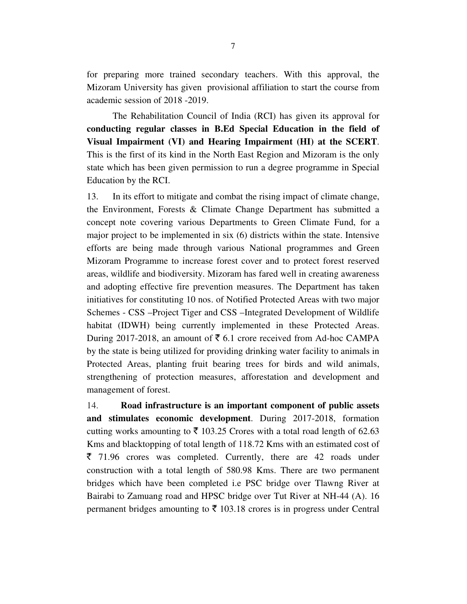for preparing more trained secondary teachers. With this approval, the Mizoram University has given provisional affiliation to start the course from academic session of 2018 -2019.

 The Rehabilitation Council of India (RCI) has given its approval for **conducting regular classes in B.Ed Special Education in the field of Visual Impairment (VI) and Hearing Impairment (HI) at the SCERT**. This is the first of its kind in the North East Region and Mizoram is the only state which has been given permission to run a degree programme in Special Education by the RCI.

13. In its effort to mitigate and combat the rising impact of climate change, the Environment, Forests & Climate Change Department has submitted a concept note covering various Departments to Green Climate Fund, for a major project to be implemented in six (6) districts within the state. Intensive efforts are being made through various National programmes and Green Mizoram Programme to increase forest cover and to protect forest reserved areas, wildlife and biodiversity. Mizoram has fared well in creating awareness and adopting effective fire prevention measures. The Department has taken initiatives for constituting 10 nos. of Notified Protected Areas with two major Schemes - CSS –Project Tiger and CSS –Integrated Development of Wildlife habitat (IDWH) being currently implemented in these Protected Areas. During 2017-2018, an amount of  $\bar{\bar{\xi}}$  6.1 crore received from Ad-hoc CAMPA by the state is being utilized for providing drinking water facility to animals in Protected Areas, planting fruit bearing trees for birds and wild animals, strengthening of protection measures, afforestation and development and management of forest.

14. **Road infrastructure is an important component of public assets and stimulates economic development**. During 2017-2018, formation cutting works amounting to  $\bar{\bar{\xi}}$  103.25 Crores with a total road length of 62.63 Kms and blacktopping of total length of 118.72 Kms with an estimated cost of  $\bar{\xi}$  71.96 crores was completed. Currently, there are 42 roads under construction with a total length of 580.98 Kms. There are two permanent bridges which have been completed i.e PSC bridge over Tlawng River at Bairabi to Zamuang road and HPSC bridge over Tut River at NH-44 (A). 16 permanent bridges amounting to  $\bar{\tau}$  103.18 crores is in progress under Central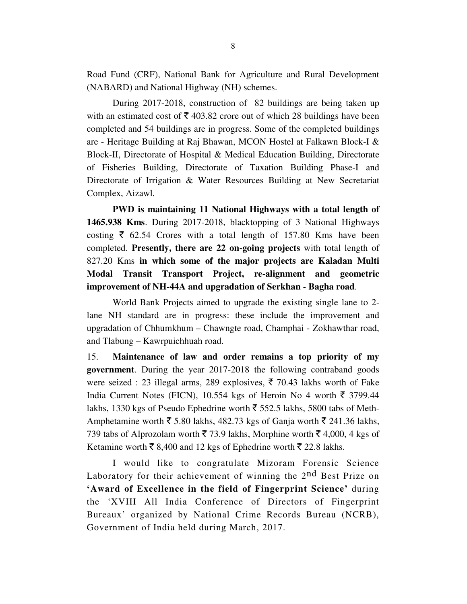Road Fund (CRF), National Bank for Agriculture and Rural Development (NABARD) and National Highway (NH) schemes.

 During 2017-2018, construction of 82 buildings are being taken up with an estimated cost of  $\bar{\tau}$  403.82 crore out of which 28 buildings have been completed and 54 buildings are in progress. Some of the completed buildings are - Heritage Building at Raj Bhawan, MCON Hostel at Falkawn Block-I & Block-II, Directorate of Hospital & Medical Education Building, Directorate of Fisheries Building, Directorate of Taxation Building Phase-I and Directorate of Irrigation & Water Resources Building at New Secretariat Complex, Aizawl.

**PWD is maintaining 11 National Highways with a total length of 1465.938 Kms**. During 2017-2018, blacktopping of 3 National Highways costing  $\bar{\tau}$  62.54 Crores with a total length of 157.80 Kms have been completed. **Presently, there are 22 on-going projects** with total length of 827.20 Kms **in which some of the major projects are Kaladan Multi Modal Transit Transport Project, re-alignment and geometric improvement of NH-44A and upgradation of Serkhan - Bagha road**.

 World Bank Projects aimed to upgrade the existing single lane to 2 lane NH standard are in progress: these include the improvement and upgradation of Chhumkhum – Chawngte road, Champhai - Zokhawthar road, and Tlabung – Kawrpuichhuah road.

15. **Maintenance of law and order remains a top priority of my government**. During the year 2017-2018 the following contraband goods were seized : 23 illegal arms, 289 explosives,  $\bar{\tau}$  70.43 lakhs worth of Fake India Current Notes (FICN), 10.554 kgs of Heroin No 4 worth  $\bar{\tau}$  3799.44 lakhs, 1330 kgs of Pseudo Ephedrine worth  $\bar{\tau}$  552.5 lakhs, 5800 tabs of Meth-Amphetamine worth  $\bar{\xi}$  5.80 lakhs, 482.73 kgs of Ganja worth  $\bar{\xi}$  241.36 lakhs, 739 tabs of Alprozolam worth  $\bar{\mathfrak{F}}$  73.9 lakhs, Morphine worth  $\bar{\mathfrak{F}}$  4,000, 4 kgs of Ketamine worth  $\bar{\xi}$  8,400 and 12 kgs of Ephedrine worth  $\bar{\xi}$  22.8 lakhs.

I would like to congratulate Mizoram Forensic Science Laboratory for their achievement of winning the 2nd Best Prize on **'Award of Excellence in the field of Fingerprint Science'** during the 'XVIII All India Conference of Directors of Fingerprint Bureaux' organized by National Crime Records Bureau (NCRB), Government of India held during March, 2017.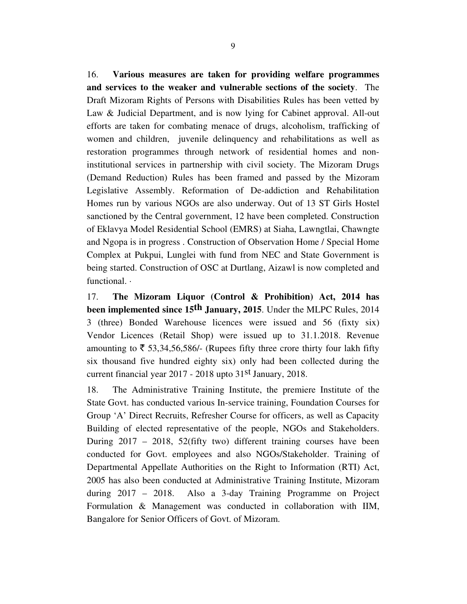16. **Various measures are taken for providing welfare programmes and services to the weaker and vulnerable sections of the society**. The Draft Mizoram Rights of Persons with Disabilities Rules has been vetted by Law & Judicial Department, and is now lying for Cabinet approval. All-out efforts are taken for combating menace of drugs, alcoholism, trafficking of women and children, juvenile delinquency and rehabilitations as well as restoration programmes through network of residential homes and noninstitutional services in partnership with civil society. The Mizoram Drugs (Demand Reduction) Rules has been framed and passed by the Mizoram Legislative Assembly. Reformation of De-addiction and Rehabilitation Homes run by various NGOs are also underway. Out of 13 ST Girls Hostel sanctioned by the Central government, 12 have been completed. Construction of Eklavya Model Residential School (EMRS) at Siaha, Lawngtlai, Chawngte and Ngopa is in progress . Construction of Observation Home / Special Home Complex at Pukpui, Lunglei with fund from NEC and State Government is being started. Construction of OSC at Durtlang, Aizawl is now completed and functional.  $\cdot$ 

17. **The Mizoram Liquor (Control & Prohibition) Act, 2014 has been implemented since 15th January, 2015**. Under the MLPC Rules, 2014 3 (three) Bonded Warehouse licences were issued and 56 (fixty six) Vendor Licences (Retail Shop) were issued up to 31.1.2018. Revenue amounting to  $\overline{5}$  53,34,56,586/- (Rupees fifty three crore thirty four lakh fifty six thousand five hundred eighty six) only had been collected during the current financial year 2017 - 2018 upto 31st January, 2018.

18. The Administrative Training Institute, the premiere Institute of the State Govt. has conducted various In-service training, Foundation Courses for Group 'A' Direct Recruits, Refresher Course for officers, as well as Capacity Building of elected representative of the people, NGOs and Stakeholders. During 2017 – 2018, 52(fifty two) different training courses have been conducted for Govt. employees and also NGOs/Stakeholder. Training of Departmental Appellate Authorities on the Right to Information (RTI) Act, 2005 has also been conducted at Administrative Training Institute, Mizoram during 2017 – 2018. Also a 3-day Training Programme on Project Formulation & Management was conducted in collaboration with IIM, Bangalore for Senior Officers of Govt. of Mizoram.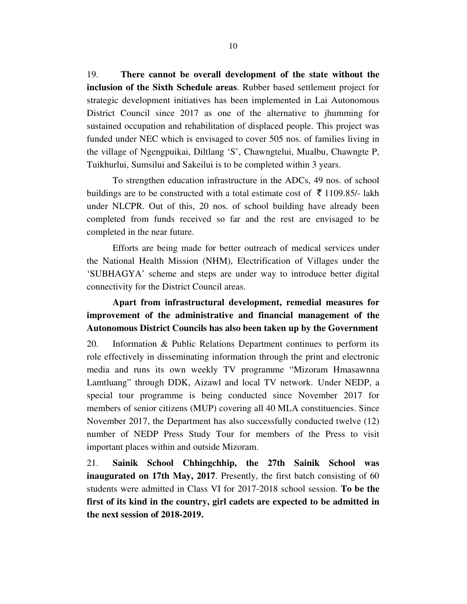19. **There cannot be overall development of the state without the inclusion of the Sixth Schedule areas**. Rubber based settlement project for strategic development initiatives has been implemented in Lai Autonomous District Council since 2017 as one of the alternative to jhumming for sustained occupation and rehabilitation of displaced people. This project was funded under NEC which is envisaged to cover 505 nos. of families living in the village of Ngengpuikai, Diltlang 'S', Chawngtelui, Mualbu, Chawngte P, Tuikhurlui, Sumsilui and Sakeilui is to be completed within 3 years.

To strengthen education infrastructure in the ADCs, 49 nos. of school buildings are to be constructed with a total estimate cost of  $\bar{\tau}$  1109.85/- lakh under NLCPR. Out of this, 20 nos. of school building have already been completed from funds received so far and the rest are envisaged to be completed in the near future.

 Efforts are being made for better outreach of medical services under the National Health Mission (NHM), Electrification of Villages under the 'SUBHAGYA' scheme and steps are under way to introduce better digital connectivity for the District Council areas.

# **Apart from infrastructural development, remedial measures for improvement of the administrative and financial management of the Autonomous District Councils has also been taken up by the Government**

20. Information & Public Relations Department continues to perform its role effectively in disseminating information through the print and electronic media and runs its own weekly TV programme "Mizoram Hmasawnna Lamtluang" through DDK, Aizawl and local TV network. Under NEDP, a special tour programme is being conducted since November 2017 for members of senior citizens (MUP) covering all 40 MLA constituencies. Since November 2017, the Department has also successfully conducted twelve (12) number of NEDP Press Study Tour for members of the Press to visit important places within and outside Mizoram.

21. **Sainik School Chhingchhip, the 27th Sainik School was inaugurated on 17th May, 2017**. Presently, the first batch consisting of 60 students were admitted in Class VI for 2017-2018 school session. **To be the first of its kind in the country, girl cadets are expected to be admitted in the next session of 2018-2019.**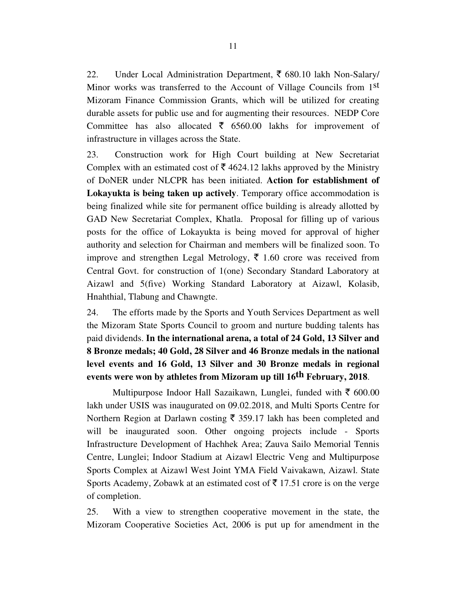22. Under Local Administration Department,  $\bar{\tau}$  680.10 lakh Non-Salary/ Minor works was transferred to the Account of Village Councils from 1<sup>st</sup> Mizoram Finance Commission Grants, which will be utilized for creating durable assets for public use and for augmenting their resources. NEDP Core Committee has also allocated  $\bar{\tau}$  6560.00 lakhs for improvement of infrastructure in villages across the State.

23. Construction work for High Court building at New Secretariat Complex with an estimated cost of  $\bar{\tau}$  4624.12 lakhs approved by the Ministry of DoNER under NLCPR has been initiated. **Action for establishment of Lokayukta is being taken up actively**. Temporary office accommodation is being finalized while site for permanent office building is already allotted by GAD New Secretariat Complex, Khatla. Proposal for filling up of various posts for the office of Lokayukta is being moved for approval of higher authority and selection for Chairman and members will be finalized soon. To improve and strengthen Legal Metrology,  $\bar{\xi}$  1.60 crore was received from Central Govt. for construction of 1(one) Secondary Standard Laboratory at Aizawl and 5(five) Working Standard Laboratory at Aizawl, Kolasib, Hnahthial, Tlabung and Chawngte.

24. The efforts made by the Sports and Youth Services Department as well the Mizoram State Sports Council to groom and nurture budding talents has paid dividends. **In the international arena, a total of 24 Gold, 13 Silver and 8 Bronze medals; 40 Gold, 28 Silver and 46 Bronze medals in the national level events and 16 Gold, 13 Silver and 30 Bronze medals in regional events were won by athletes from Mizoram up till 16th February, 2018**.

Multipurpose Indoor Hall Sazaikawn, Lunglei, funded with  $\bar{\tau}$  600.00 lakh under USIS was inaugurated on 09.02.2018, and Multi Sports Centre for Northern Region at Darlawn costing  $\bar{\xi}$  359.17 lakh has been completed and will be inaugurated soon. Other ongoing projects include - Sports Infrastructure Development of Hachhek Area; Zauva Sailo Memorial Tennis Centre, Lunglei; Indoor Stadium at Aizawl Electric Veng and Multipurpose Sports Complex at Aizawl West Joint YMA Field Vaivakawn, Aizawl. State Sports Academy, Zobawk at an estimated cost of  $\bar{\tau}$  17.51 crore is on the verge of completion.

25. With a view to strengthen cooperative movement in the state, the Mizoram Cooperative Societies Act, 2006 is put up for amendment in the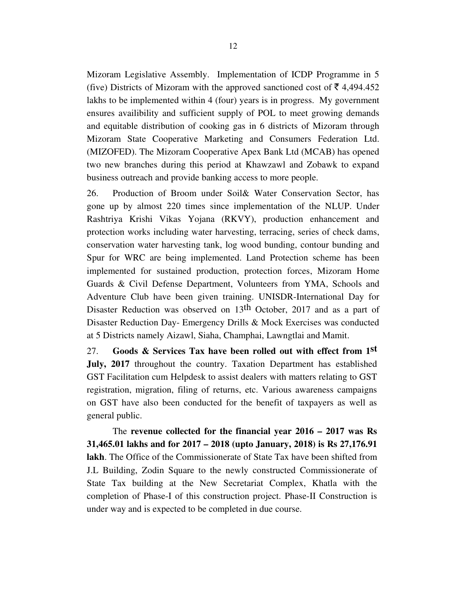Mizoram Legislative Assembly. Implementation of ICDP Programme in 5 (five) Districts of Mizoram with the approved sanctioned cost of  $\bar{\tau}$  4,494.452 lakhs to be implemented within 4 (four) years is in progress. My government ensures availibility and sufficient supply of POL to meet growing demands and equitable distribution of cooking gas in 6 districts of Mizoram through Mizoram State Cooperative Marketing and Consumers Federation Ltd. (MIZOFED). The Mizoram Cooperative Apex Bank Ltd (MCAB) has opened two new branches during this period at Khawzawl and Zobawk to expand business outreach and provide banking access to more people.

26. Production of Broom under Soil& Water Conservation Sector, has gone up by almost 220 times since implementation of the NLUP. Under Rashtriya Krishi Vikas Yojana (RKVY), production enhancement and protection works including water harvesting, terracing, series of check dams, conservation water harvesting tank, log wood bunding, contour bunding and Spur for WRC are being implemented. Land Protection scheme has been implemented for sustained production, protection forces, Mizoram Home Guards & Civil Defense Department, Volunteers from YMA, Schools and Adventure Club have been given training. UNISDR-International Day for Disaster Reduction was observed on 13<sup>th</sup> October, 2017 and as a part of Disaster Reduction Day- Emergency Drills & Mock Exercises was conducted at 5 Districts namely Aizawl, Siaha, Champhai, Lawngtlai and Mamit.

27. **Goods & Services Tax have been rolled out with effect from 1st July, 2017** throughout the country. Taxation Department has established GST Facilitation cum Helpdesk to assist dealers with matters relating to GST registration, migration, filing of returns, etc. Various awareness campaigns on GST have also been conducted for the benefit of taxpayers as well as general public.

 The **revenue collected for the financial year 2016 – 2017 was Rs 31,465.01 lakhs and for 2017 – 2018 (upto January, 2018) is Rs 27,176.91 lakh**. The Office of the Commissionerate of State Tax have been shifted from J.L Building, Zodin Square to the newly constructed Commissionerate of State Tax building at the New Secretariat Complex, Khatla with the completion of Phase-I of this construction project. Phase-II Construction is under way and is expected to be completed in due course.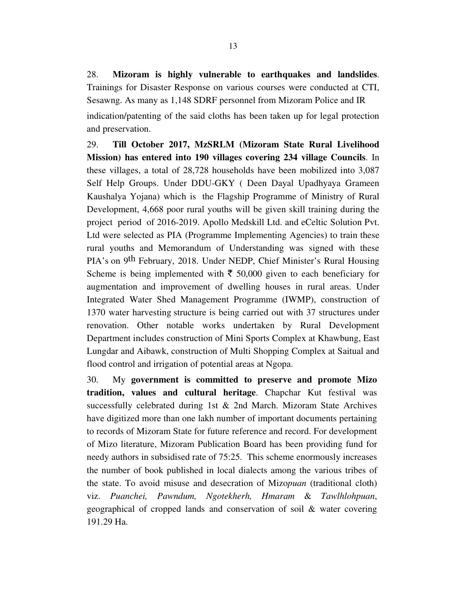28. **Mizoram is highly vulnerable to earthquakes and landslides**. Trainings for Disaster Response on various courses were conducted at CTI, Sesawng. As many as 1,148 SDRF personnel from Mizoram Police and IR indication/patenting of the said cloths has been taken up for legal protection and preservation.

29. **Till October 2017, MzSRLM (Mizoram State Rural Livelihood Mission) has entered into 190 villages covering 234 village Councils**. In these villages, a total of 28,728 households have been mobilized into 3,087 Self Help Groups. Under DDU-GKY ( Deen Dayal Upadhyaya Grameen Kaushalya Yojana) which is the Flagship Programme of Ministry of Rural Development, 4,668 poor rural youths will be given skill training during the project period of 2016-2019. Apollo Medskill Ltd. and eCeltic Solution Pvt. Ltd were selected as PIA (Programme Implementing Agencies) to train these rural youths and Memorandum of Understanding was signed with these PIA's on 9th February, 2018. Under NEDP, Chief Minister's Rural Housing Scheme is being implemented with  $\bar{\tau}$  50,000 given to each beneficiary for augmentation and improvement of dwelling houses in rural areas. Under Integrated Water Shed Management Programme (IWMP), construction of 1370 water harvesting structure is being carried out with 37 structures under renovation. Other notable works undertaken by Rural Development Department includes construction of Mini Sports Complex at Khawbung, East Lungdar and Aibawk, construction of Multi Shopping Complex at Saitual and flood control and irrigation of potential areas at Ngopa.

30. My **government is committed to preserve and promote Mizo tradition, values and cultural heritage**. Chapchar Kut festival was successfully celebrated during 1st & 2nd March. Mizoram State Archives have digitized more than one lakh number of important documents pertaining to records of Mizoram State for future reference and record. For development of Mizo literature, Mizoram Publication Board has been providing fund for needy authors in subsidised rate of 75:25. This scheme enormously increases the number of book published in local dialects among the various tribes of the state. To avoid misuse and desecration of Mizo*puan* (traditional cloth) viz. *Puanchei, Pawndum, Ngotekherh, Hmaram* & *Tawlhlohpuan*, geographical of cropped lands and conservation of soil & water covering 191.29 Ha.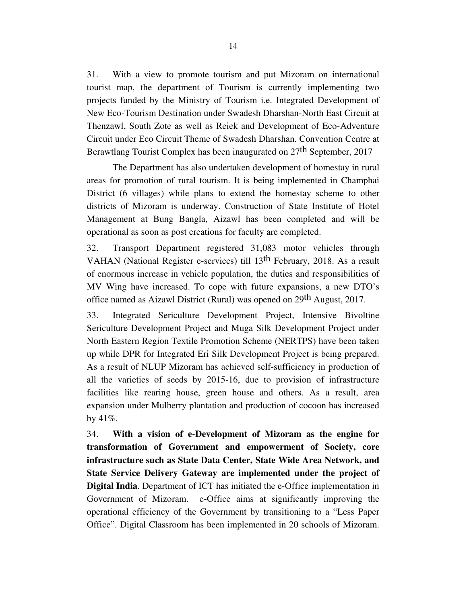31. With a view to promote tourism and put Mizoram on international tourist map, the department of Tourism is currently implementing two projects funded by the Ministry of Tourism i.e. Integrated Development of New Eco-Tourism Destination under Swadesh Dharshan-North East Circuit at Thenzawl, South Zote as well as Reiek and Development of Eco-Adventure Circuit under Eco Circuit Theme of Swadesh Dharshan. Convention Centre at Berawtlang Tourist Complex has been inaugurated on 27<sup>th</sup> September, 2017

 The Department has also undertaken development of homestay in rural areas for promotion of rural tourism. It is being implemented in Champhai District (6 villages) while plans to extend the homestay scheme to other districts of Mizoram is underway. Construction of State Institute of Hotel Management at Bung Bangla, Aizawl has been completed and will be operational as soon as post creations for faculty are completed.

32. Transport Department registered 31,083 motor vehicles through VAHAN (National Register e-services) till 13th February, 2018. As a result of enormous increase in vehicle population, the duties and responsibilities of MV Wing have increased. To cope with future expansions, a new DTO's office named as Aizawl District (Rural) was opened on 29th August, 2017.

33. Integrated Sericulture Development Project, Intensive Bivoltine Sericulture Development Project and Muga Silk Development Project under North Eastern Region Textile Promotion Scheme (NERTPS) have been taken up while DPR for Integrated Eri Silk Development Project is being prepared. As a result of NLUP Mizoram has achieved self-sufficiency in production of all the varieties of seeds by 2015-16, due to provision of infrastructure facilities like rearing house, green house and others. As a result, area expansion under Mulberry plantation and production of cocoon has increased by  $41\%$ .

34. **With a vision of e-Development of Mizoram as the engine for transformation of Government and empowerment of Society, core infrastructure such as State Data Center, State Wide Area Network, and State Service Delivery Gateway are implemented under the project of Digital India**. Department of ICT has initiated the e-Office implementation in Government of Mizoram. e-Office aims at significantly improving the operational efficiency of the Government by transitioning to a "Less Paper Office". Digital Classroom has been implemented in 20 schools of Mizoram.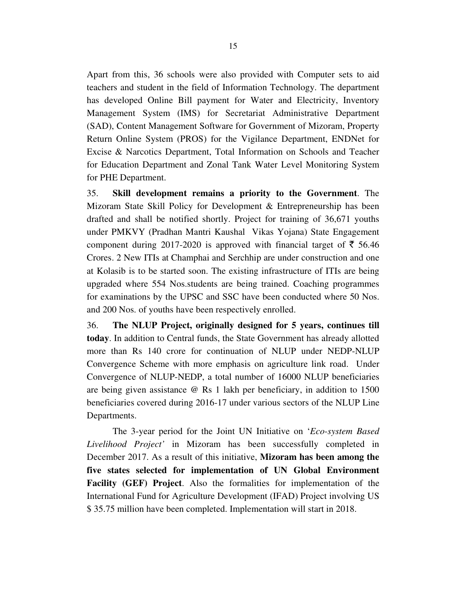Apart from this, 36 schools were also provided with Computer sets to aid teachers and student in the field of Information Technology. The department has developed Online Bill payment for Water and Electricity, Inventory Management System (IMS) for Secretariat Administrative Department (SAD), Content Management Software for Government of Mizoram, Property Return Online System (PROS) for the Vigilance Department, ENDNet for Excise & Narcotics Department, Total Information on Schools and Teacher for Education Department and Zonal Tank Water Level Monitoring System for PHE Department.

35. **Skill development remains a priority to the Government**. The Mizoram State Skill Policy for Development & Entrepreneurship has been drafted and shall be notified shortly. Project for training of 36,671 youths under PMKVY (Pradhan Mantri Kaushal Vikas Yojana) State Engagement component during 2017-2020 is approved with financial target of  $\bar{\tau}$  56.46 Crores. 2 New ITIs at Champhai and Serchhip are under construction and one at Kolasib is to be started soon. The existing infrastructure of ITIs are being upgraded where 554 Nos.students are being trained. Coaching programmes for examinations by the UPSC and SSC have been conducted where 50 Nos. and 200 Nos. of youths have been respectively enrolled.

36. **The NLUP Project, originally designed for 5 years, continues till today**. In addition to Central funds, the State Government has already allotted more than Rs 140 crore for continuation of NLUP under NEDP-NLUP Convergence Scheme with more emphasis on agriculture link road. Under Convergence of NLUP-NEDP, a total number of 16000 NLUP beneficiaries are being given assistance @ Rs 1 lakh per beneficiary, in addition to 1500 beneficiaries covered during 2016-17 under various sectors of the NLUP Line Departments.

 The 3-year period for the Joint UN Initiative on '*Eco-system Based Livelihood Project'* in Mizoram has been successfully completed in December 2017. As a result of this initiative, **Mizoram has been among the five states selected for implementation of UN Global Environment Facility (GEF) Project**. Also the formalities for implementation of the International Fund for Agriculture Development (IFAD) Project involving US \$ 35.75 million have been completed. Implementation will start in 2018.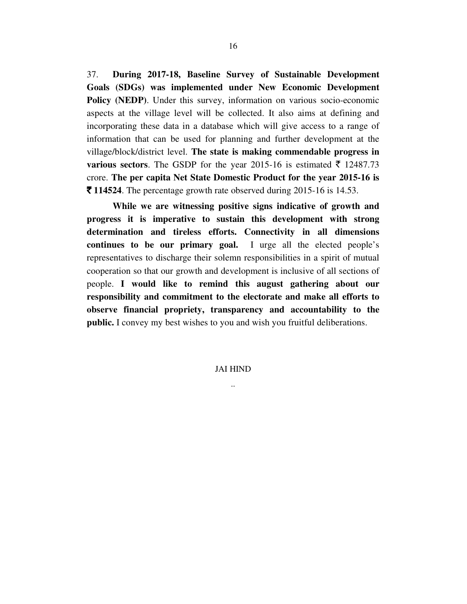37. **During 2017-18, Baseline Survey of Sustainable Development Goals (SDGs) was implemented under New Economic Development Policy (NEDP)**. Under this survey, information on various socio-economic aspects at the village level will be collected. It also aims at defining and incorporating these data in a database which will give access to a range of information that can be used for planning and further development at the village/block/district level. **The state is making commendable progress in various sectors**. The GSDP for the year 2015-16 is estimated  $\bar{\tau}$  12487.73 crore. **The per capita Net State Domestic Product for the year 2015-16 is**   $\bar{\mathbf{\tau}}$  **114524**. The percentage growth rate observed during 2015-16 is 14.53.

**While we are witnessing positive signs indicative of growth and progress it is imperative to sustain this development with strong determination and tireless efforts. Connectivity in all dimensions continues to be our primary goal.** I urge all the elected people's representatives to discharge their solemn responsibilities in a spirit of mutual cooperation so that our growth and development is inclusive of all sections of people. **I would like to remind this august gathering about our responsibility and commitment to the electorate and make all efforts to observe financial propriety, transparency and accountability to the public.** I convey my best wishes to you and wish you fruitful deliberations.

> JAI HIND ..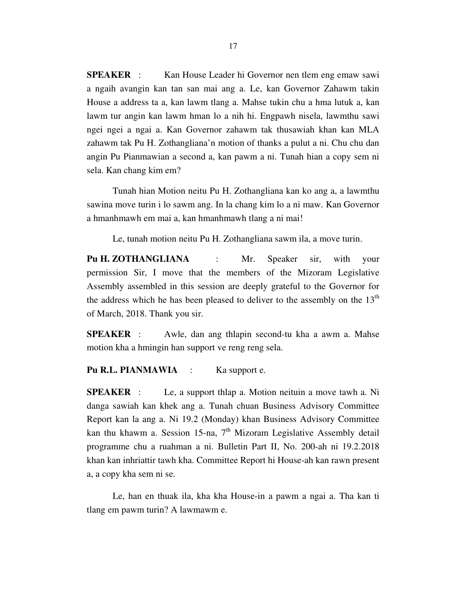**SPEAKER** : Kan House Leader hi Governor nen tlem eng emaw sawi a ngaih avangin kan tan san mai ang a. Le, kan Governor Zahawm takin House a address ta a, kan lawm tlang a. Mahse tukin chu a hma lutuk a, kan lawm tur angin kan lawm hman lo a nih hi. Engpawh nisela, lawmthu sawi ngei ngei a ngai a. Kan Governor zahawm tak thusawiah khan kan MLA zahawm tak Pu H. Zothangliana'n motion of thanks a pulut a ni. Chu chu dan angin Pu Pianmawian a second a, kan pawm a ni. Tunah hian a copy sem ni sela. Kan chang kim em?

 Tunah hian Motion neitu Pu H. Zothangliana kan ko ang a, a lawmthu sawina move turin i lo sawm ang. In la chang kim lo a ni maw. Kan Governor a hmanhmawh em mai a, kan hmanhmawh tlang a ni mai!

Le, tunah motion neitu Pu H. Zothangliana sawm ila, a move turin.

**Pu H. ZOTHANGLIANA** : Mr. Speaker sir, with your permission Sir, I move that the members of the Mizoram Legislative Assembly assembled in this session are deeply grateful to the Governor for the address which he has been pleased to deliver to the assembly on the  $13<sup>th</sup>$ of March, 2018. Thank you sir.

**SPEAKER** : Awle, dan ang thlapin second-tu kha a awm a. Mahse motion kha a hmingin han support ve reng reng sela.

Pu R.L. PIANMAWIA : Ka support e.

**SPEAKER** : Le, a support thlap a. Motion neituin a move tawh a. Ni danga sawiah kan khek ang a. Tunah chuan Business Advisory Committee Report kan la ang a. Ni 19.2 (Monday) khan Business Advisory Committee kan thu khawm a. Session 15-na,  $7<sup>th</sup>$  Mizoram Legislative Assembly detail programme chu a ruahman a ni. Bulletin Part II, No. 200-ah ni 19.2.2018 khan kan inhriattir tawh kha. Committee Report hi House-ah kan rawn present a, a copy kha sem ni se.

 Le, han en thuak ila, kha kha House-in a pawm a ngai a. Tha kan ti tlang em pawm turin? A lawmawm e.